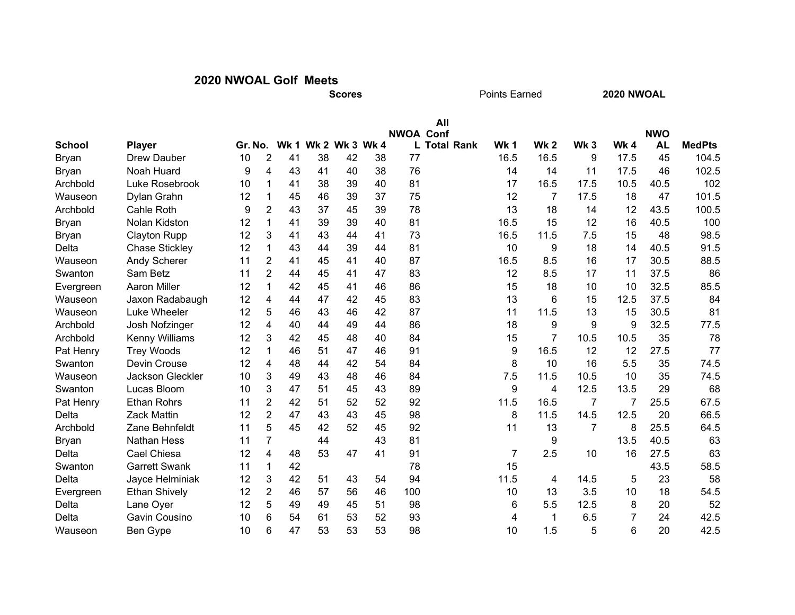## 2020 NWOAL Golf Meets

**Scores** 

Points Earned

2020 NWOAL

|                          |                         |         |                |    |                     |    |    |                  | All                 |                |                |                 |                |                         |               |
|--------------------------|-------------------------|---------|----------------|----|---------------------|----|----|------------------|---------------------|----------------|----------------|-----------------|----------------|-------------------------|---------------|
| <b>School</b>            | <b>Player</b>           | Gr. No. |                |    | Wk 1 Wk 2 Wk 3 Wk 4 |    |    | <b>NWOA Conf</b> | <b>L Total Rank</b> | <b>Wk 1</b>    | <b>Wk2</b>     | Wk <sub>3</sub> | Wk4            | <b>NWO</b><br><b>AL</b> | <b>MedPts</b> |
| <b>Bryan</b>             | <b>Drew Dauber</b>      | 10      | $\overline{2}$ | 41 | 38                  | 42 | 38 | 77               |                     | 16.5           | 16.5           | 9               | 17.5           | 45                      | 104.5         |
|                          | Noah Huard              | 9       | 4              | 43 | 41                  | 40 | 38 | 76               |                     | 14             | 14             | 11              | 17.5           | 46                      | 102.5         |
| <b>Bryan</b><br>Archbold | Luke Rosebrook          | 10      | 1              | 41 | 38                  | 39 | 40 | 81               |                     | 17             | 16.5           | 17.5            | 10.5           | 40.5                    | 102           |
| Wauseon                  | Dylan Grahn             | 12      | 1              | 45 | 46                  | 39 | 37 | 75               |                     | 12             | 7              | 17.5            | 18             | 47                      | 101.5         |
| Archbold                 | Cahle Roth              | 9       | $\overline{2}$ | 43 | 37                  | 45 | 39 | 78               |                     | 13             | 18             | 14              | 12             | 43.5                    | 100.5         |
|                          | Nolan Kidston           | 12      | 1              | 41 | 39                  | 39 |    | 81               |                     | 16.5           | 15             | 12              | 16             | 40.5                    | 100           |
| <b>Bryan</b>             |                         |         |                |    |                     | 44 | 40 | 73               |                     |                |                | 7.5             |                | 48                      | 98.5          |
| <b>Bryan</b>             | <b>Clayton Rupp</b>     | 12      | 3              | 41 | 43                  |    | 41 |                  |                     | 16.5           | 11.5           |                 | 15             |                         |               |
| Delta                    | <b>Chase Stickley</b>   | 12      | 1              | 43 | 44                  | 39 | 44 | 81               |                     | 10             | 9              | 18              | 14             | 40.5                    | 91.5          |
| Wauseon                  | <b>Andy Scherer</b>     | 11      | 2              | 41 | 45                  | 41 | 40 | 87               |                     | 16.5           | 8.5            | 16              | 17             | 30.5                    | 88.5          |
| Swanton                  | Sam Betz                | 11      | $\overline{2}$ | 44 | 45                  | 41 | 47 | 83               |                     | 12             | 8.5            | 17              | 11             | 37.5                    | 86            |
| Evergreen                | <b>Aaron Miller</b>     | 12      | 1              | 42 | 45                  | 41 | 46 | 86               |                     | 15             | 18             | 10              | 10             | 32.5                    | 85.5          |
| Wauseon                  | Jaxon Radabaugh         | 12      | 4              | 44 | 47                  | 42 | 45 | 83               |                     | 13             | 6              | 15              | 12.5           | 37.5                    | 84            |
| Wauseon                  | Luke Wheeler            | 12      | 5              | 46 | 43                  | 46 | 42 | 87               |                     | 11             | 11.5           | 13              | 15             | 30.5                    | 81            |
| Archbold                 | Josh Nofzinger          | 12      | 4              | 40 | 44                  | 49 | 44 | 86               |                     | 18             | 9              | 9               | 9              | 32.5                    | 77.5          |
| Archbold                 | <b>Kenny Williams</b>   | 12      | 3              | 42 | 45                  | 48 | 40 | 84               |                     | 15             | $\overline{7}$ | 10.5            | 10.5           | 35                      | 78            |
| Pat Henry                | <b>Trey Woods</b>       | 12      | 1              | 46 | 51                  | 47 | 46 | 91               |                     | 9              | 16.5           | 12              | 12             | 27.5                    | 77            |
| Swanton                  | Devin Crouse            | 12      | 4              | 48 | 44                  | 42 | 54 | 84               |                     | 8              | 10             | 16              | 5.5            | 35                      | 74.5          |
| Wauseon                  | <b>Jackson Gleckler</b> | 10      | 3              | 49 | 43                  | 48 | 46 | 84               |                     | 7.5            | 11.5           | 10.5            | 10             | 35                      | 74.5          |
| Swanton                  | Lucas Bloom             | 10      | 3              | 47 | 51                  | 45 | 43 | 89               |                     | 9              | 4              | 12.5            | 13.5           | 29                      | 68            |
| Pat Henry                | <b>Ethan Rohrs</b>      | 11      | $\overline{2}$ | 42 | 51                  | 52 | 52 | 92               |                     | 11.5           | 16.5           | $\overline{7}$  | $\overline{7}$ | 25.5                    | 67.5          |
| Delta                    | <b>Zack Mattin</b>      | 12      | $\overline{2}$ | 47 | 43                  | 43 | 45 | 98               |                     | 8              | 11.5           | 14.5            | 12.5           | 20                      | 66.5          |
| Archbold                 | Zane Behnfeldt          | 11      | 5              | 45 | 42                  | 52 | 45 | 92               |                     | 11             | 13             | $\overline{7}$  | 8              | 25.5                    | 64.5          |
| <b>Bryan</b>             | <b>Nathan Hess</b>      | 11      | $\overline{7}$ |    | 44                  |    | 43 | 81               |                     |                | 9              |                 | 13.5           | 40.5                    | 63            |
| Delta                    | Cael Chiesa             | 12      | 4              | 48 | 53                  | 47 | 41 | 91               |                     | $\overline{7}$ | 2.5            | 10              | 16             | 27.5                    | 63            |
| Swanton                  | <b>Garrett Swank</b>    | 11      | 1              | 42 |                     |    |    | 78               |                     | 15             |                |                 |                | 43.5                    | 58.5          |
| Delta                    | Jayce Helminiak         | 12      | 3              | 42 | 51                  | 43 | 54 | 94               |                     | 11.5           | 4              | 14.5            | 5              | 23                      | 58            |
| Evergreen                | <b>Ethan Shively</b>    | 12      | $\overline{2}$ | 46 | 57                  | 56 | 46 | 100              |                     | 10             | 13             | 3.5             | 10             | 18                      | 54.5          |
| Delta                    | Lane Oyer               | 12      | 5              | 49 | 49                  | 45 | 51 | 98               |                     | 6              | 5.5            | 12.5            | 8              | 20                      | 52            |
| Delta                    | Gavin Cousino           | 10      | 6              | 54 | 61                  | 53 | 52 | 93               |                     | 4              | 1              | 6.5             | 7              | 24                      | 42.5          |
| Wauseon                  | Ben Gype                | 10      | 6              | 47 | 53                  | 53 | 53 | 98               |                     | 10             | 1.5            | 5               | 6              | 20                      | 42.5          |
|                          |                         |         |                |    |                     |    |    |                  |                     |                |                |                 |                |                         |               |

All